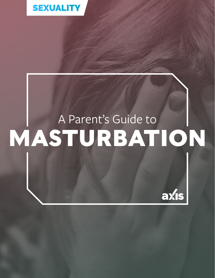

## A Parent's Guide to **MASTURBATION**

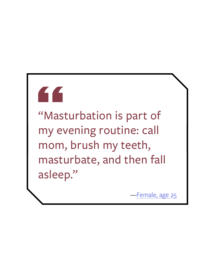# "

"Masturbation is part of my evening routine: call mom, brush my teeth, masturbate, and then fall asleep."

—[Female, age 25](https://www.cosmopolitan.com/sex-love/news/a35847/sex-talk-realness-womens-masturbation-habits/ )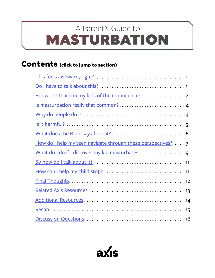## <span id="page-2-0"></span>MASTURBATION A Parent's Guide to

#### **Contents (click to jump to section)**

| Is masturbation really that common? 4                      |
|------------------------------------------------------------|
|                                                            |
|                                                            |
|                                                            |
| How do I help my teen navigate through these perspectives? |
|                                                            |
|                                                            |
|                                                            |
|                                                            |
|                                                            |
|                                                            |
|                                                            |
|                                                            |

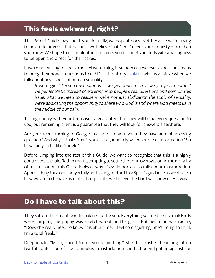#### <span id="page-3-0"></span>**This feels awkward, right?**

This Parent Guide may shock you. Actually, we hope it does. Not because we're trying to be crude or gross, but because we believe that Gen Z needs your honesty more than you know. We hope that our bluntness inspires you to meet your kids with a willingness to be open and direct for their sakes.

If we're not willing to speak the awkward thing first, how can we ever expect our teens to bring their honest questions to us? Dr. Juli Slattery [explains](https://www.authenticintimacy.com/resources/9141/220-rethinking-sexuality-in-your-parenting) what is at stake when we talk about any aspect of human sexuality:

If we neglect these conversations, if we get squeamish, if we get judgmental, if *we get legalistic instead of entering into people's real questions and pain on this issue, what we need to realize is we're not just abdicating the topic of sexuality, we're abdicating the opportunity to share who God is and where God meets us in the middle of our pain.*

Talking openly with your teens isn't a guarantee that they will bring every question to you, but remaining silent is a guarantee that they will look for answers elsewhere.

Are your teens turning to Google instead of to you when they have an embarrassing question? And why is that? Aren't you a safer, infinitely wiser source of information? So how can you be like Google?

Before jumping into the rest of this Guide, we want to recognize that this is a highly controversial topic. Rather than attempting to settle the controversy around the morality of masturbation, this Guide looks at why it's so important to talk about masturbation. Approaching this topic prayerfully and asking for the Holy Spirit's guidance as we discern how we are to behave as embodied people, we believe the Lord will show us His way.

#### **Do I have to talk about this?**

They sat on their front porch soaking up the sun. Everything seemed so normal: Birds were chirping, the puppy was stretched out on the grass. But her mind was racing, "Does she really need to know this about me? I feel so disgusting. She's going to think I'm a total freak."

Deep inhale, "Mom, I need to tell you something." She then rushed headlong into a tearful confession of the compulsive masturbation she had been fighting against for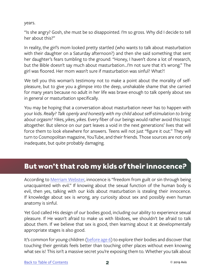<span id="page-4-0"></span>years.

"Is she angry? Gosh, she must be so disappointed. I'm so gross. Why did I decide to tell her about this?"

In reality, the girl's mom looked pretty startled (who wants to talk about masturbation with their daughter on a Saturday afternoon?) and then she said something that sent her daughter's fears tumbling to the ground: "Honey, I haven't done a lot of research, but the Bible doesn't say much about masturbation…I'm not sure that it's wrong." The girl was floored. Her mom wasn't sure if masturbation was sinful? What?!

We tell you this woman's testimony not to make a point about the morality of selfpleasure, but to give you a glimpse into the deep, unshakable shame that she carried for many years because no adult in her life was brave enough to talk openly about sex in general or masturbation specifically.

You may be hoping that a conversation about masturbation never has to happen with your kids. *Really? Talk openly and honestly with my child about self-stimulation to bring about orgasm? Yikes, yikes, yikes.* Every fiber of our beings would rather avoid this topic altogether. But silence on our part leaves a void in the next generations' lives that will force them to look elsewhere for answers. Teens will not just "figure it out." They will turn to Cosmopolitan magazine, YouTube, and their friends. Those sources are not only inadequate, but quite probably damaging.

#### **But won't that rob my kids of their innocence?**

According to [Merriam Webster](https://www.merriam-webster.com/dictionary/innocence), innocence is "freedom from guilt or sin through being unacquainted with evil." If knowing about the sexual function of the human body is evil, then yes, talking with our kids about masturbation is stealing their innocence. If knowledge about sex is wrong, any curiosity about sex and possibly even human anatomy is sinful.

Yet God called His design of our bodies good, including our ability to experience sexual pleasure. If He wasn't afraid to make us with libidoes, we shouldn't be afraid to talk about them. If we believe that sex is good, then learning about it at developmentally appropriate stages is also good.

It's common for young children ([before age 6\)](https://www.popsugar.com/family/When-Kids-Start-Masturbating-27331360) to explore their bodies and discover that touching their genitals feels better than touching other places without even knowing what sex is! This isn't a massive secret you're exposing them to. Whether you talk about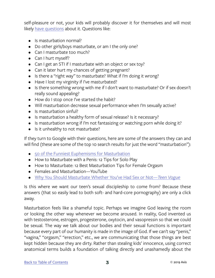self-pleasure or not, your kids will probably discover it for themselves and will most likely [have questions](https://www.liveabout.com/faqs-about-masturbation-3196586) about it. Questions like:

- Is masturbation normal?
- Do other girls/boys masturbate, or am I the only one?
- Can I masturbate too much?
- Can I hurt myself?
- Can I get an STI if I masturbate with an object or sex toy?
- Can it later hurt my chances of getting pregnant?
- Is there a "right way" to masturbate? What if I'm doing it wrong?
- Have I lost my virginity if I've masturbated?
- Is there something wrong with me if I don't want to masturbate? Or if sex doesn't really sound appealing?
- How do I stop once I've started the habit?
- Will masturbation decrease sexual performance when I'm sexually active?
- Is masturbation sinful?
- Is masturbation a healthy form of sexual release? Is it necessary?
- Is masturbation wrong if I'm not fantasizing or watching porn while doing it?
- Is it unhealthy to not masturbate?

If they turn to Google with their questions, here are some of the answers they can and will find (these are some of the top 10 search results for just the word "masturbation"):

- [50 of the Funniest Euphemisms for Masturbation](https://mashable.com/2018/05/07/masturbation-slang-euphemisms-list/)
- How to Masturbate with a Penis: 12 Tips for Solo Play
- How to Masturbate: 12 Best Masturbation Tips for Female Orgasm
- Females and Masturbation—YouTube
- [Why You Should Masturbate Whether You've Had Sex or Not—](https://www.teenvogue.com/story/why-you-should-masturbate-whether-youve-had-sex-or-not)*Teen Vogue*

Is this where we want our teen's sexual discipleship to come from? Because these answers (that so easily lead to both soft- and hard-core pornography) are only a click away.

Masturbation feels like a shameful topic. Perhaps we imagine God leaving the room or looking the other way whenever we become aroused. In reality, God invented us with testosterone, estrogen, progesterone, oxytocin, and vasopressin so that we could be sexual. The way we talk about our bodies and their sexual functions is important because every part of our humanity is made in the image of God. If we can't say "penis," "vagina," "orgasm," "erection," etc., we are communicating that those things are best kept hidden because they are dirty. Rather than stealing kids' innocence, using correct anatomical terms builds a foundation of talking directly and unashamedly about the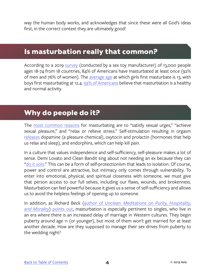<span id="page-6-0"></span>way the human body works, and acknowledges that since these were all God's ideas first, in the correct context they are ultimately good!

#### **Is masturbation really that common?**

According to a 2019 [survey](http://www.feelmore.global/wp-content/uploads/2019/05/TENGA-BCW-2019-Global-Survey-US-Report-5.10.19.pdf) (conducted by a sex toy manufacturer) of 13,000 people ages 18-74 from 18 countries, 84% of Americans have masturbated at least once (92% of men and 76% of women). The [average age](https://www.theguardian.com/society/2016/may/10/masturbation-month-sex-toys-tips-sexual-health?utm_campaign=The%20Culture%20Translator%20Premium&utm_source=hs_email&utm_medium=email&utm_content=73033166&_hsenc=p2ANqtz-9xCeGNSd1av6FFnMpfjWPdVdY-hzi2PBNC85mMeFVbq2EybTe48UtxJcDoBII1yKAq4clnq6JQfRAiTRFbfa0NV6sNZA&_hsmi=73033166) at which girls first masturbate is 13, with boys first masturbating at 12.4. [59% of Americans](https://www.allure.com/story/masturbation-survey-statistics-american-men-women) believe that masturbation is a healthy and normal activity.

#### **Why do people do it?**

The [most common reasons](http://www.feelmore.global/wp-content/uploads/2019/05/TENGA-BCW-2019-Global-Survey-US-Report-5.10.19.pdf) for masturbating are to "satisfy sexual urges," "achieve sexual pleasure," and "relax or relieve stress." Self-stimulation resulting in orgasm [releases](https://www.talkspace.com/blog/5-reasons-masturbation-destressing/) dopamine (a pleasure chemical), oxytocin and prolactin (hormones that help us relax and sleep), and endorphins, which can help kill pain.

In a culture that values independence and self-sufficiency, self-pleasure makes a lot of sense. Demi Lovato and Clean Bandit sing about not needing an ex because they can ["do it solo.](https://www.youtube.com/watch?v=vK_hFfd2__w)" This can be a form of self-protectionism that leads to isolation. Of course, power and control are attractive, but intimacy only comes through vulnerability. To enter into emotional, physical, and spiritual closeness with someone, we must give that person access to our full selves, including our flaws, wounds, and brokenness. Masturbation can feel powerful because it gives us a sense of self-sufficiency and allows us to avoid the helpless feelings of opening up to someone.

In addition, as Richard Beck (author of *[Unclean: Meditations on Purity, Hospitality,](https://www.amazon.com/gp/product/160899242X/ref=as_li_ss_tl?ie=UTF8&camp=1789&creative=390957&creativeASIN=160899242X&linkCode=as2&tag=racheleva-20)  [and Morality](https://www.amazon.com/gp/product/160899242X/ref=as_li_ss_tl?ie=UTF8&camp=1789&creative=390957&creativeASIN=160899242X&linkCode=as2&tag=racheleva-20)*) [points out,](https://rachelheldevans.com/blog/christians-masturbation) masturbation is especially pertinent to singles, who live in an era where there is an increased delay of marriage in Western cultures. They begin puberty around age 11 (or younger), but most of them won't get married for at least another decade. How are they supposed to manage their sex drives from puberty to the wedding night?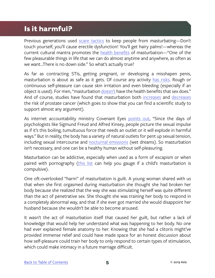#### <span id="page-7-0"></span>**Is it harmful?**

Previous generations used [scare tactics](https://www.everydayhealth.com/erectile-dysfunction/the-truth-about-masturbation-myths.aspx) to keep people from masturbating-Don't touch yourself, you'll cause erectile dysfunction! You'll get hairy palms!—whereas the current cultural mantra promotes the [health benefits](https://psychcentral.com/lib/does-masturbation-cause-blindness/) of masturbation—"One of the few pleasurable things in life that we can do almost anytime and anywhere, as often as we want...There is no down side." So what's actually true?

As far as contracting STIs, getting pregnant, or developing a misshapen penis, masturbation is about as safe as it gets. Of course any activity [has risks](https://www.covenanteyes.com/2016/05/23/masturbation-health-benefits/). Rough or continuous self-pleasure can cause skin irritation and even bleeding (especially if an object is used). For men, "masturbation [doesn't](https://www.webmd.com/men/guide/male-masturbation-5-things-you-didnt-know#1) have the health benefits that sex does." And of course, studies have found that masturbation both [increases](https://www.covenanteyes.com/2016/05/23/masturbation-health-benefits/) and [decreases](https://www.webmd.com/prostate-cancer/news/20090127/masturbation-and-prostate-cancer-risk#1) the risk of prostate cancer (which goes to show that you can find a scientific study to support almost any argument).

As internet accountability ministry Covenant Eyes [points out,](https://www.covenanteyes.com/2016/05/23/masturbation-health-benefits/) "Since the days of psychologists like Sigmund Freud and Alfred Kinsey, people picture the sexual impulse as if it's this boiling, tumultuous force that needs an outlet or it will explode in harmful ways." But in reality, the body has a variety of natural outlets for pent up sexual tension, including sexual intercourse and [nocturnal emissions](https://www.verywellhealth.com/what-is-a-wet-dream-and-what-does-it-mean-3015090) (wet dreams). So masturbation isn't necessary, and one can be a healthy human without self-pleasuring.

Masturbation can be addictive, especially when used as a form of escapism or when paired with pornography [\(this list](https://www.nytimes.com/2018/12/10/well/family/why-is-childrens-masturbation-such-a-secret.html) can help you gauge if a child's masturbation is compulsive).

One oft-overlooked "harm" of masturbation is guilt. A young woman shared with us that when she first orgasmed during masturbation she thought she had broken her body because she realized that the way she was stimulating herself was quite different than the act of penetrative sex. She thought she was training her body to respond in a completely abnormal way, and that if she ever got married she would disappoint her husband because she wouldn't be able to become aroused.

It wasn't the act of masturbation itself that caused her guilt, but rather a lack of knowledge that would help her understand what was happening to her body. No one had ever explained female anatomy to her. Knowing that she had a clitoris might've provided immense relief and could have made space for an honest discussion about how self-pleasure could train her body to only respond to certain types of stimulation, which could make intimacy in a future marriage difficult.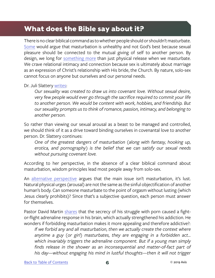#### <span id="page-8-0"></span>**What does the Bible say about it?**

There is no clear biblical command as to whether people should or shouldn't masturbate. [Some](https://www.desiringgod.org/articles/if-your-right-hand-causes-you-to-sin) would argue that masturbation is unhealthy and not God's best because sexual pleasure should be connected to the mutual giving of self to another person. By design, we long for [something more](https://rachelheldevans.com/blog/christians-masturbation) than just physical release when we masturbate. We crave relational intimacy and connection because sex is ultimately about marriage as an expression of Christ's relationship with His bride, the Church. By nature, solo-sex cannot focus on anyone but ourselves and our personal needs.

#### Dr. Juli Slattery [writes:](https://www.authenticintimacy.com/resources/6962/masturbation-is-it-wrong )

*Our sexuality was created to draw us into covenant love. Without sexual desire, very few people would ever go through the sacrifice required to commit your life to another person. We would be content with work, hobbies, and friendship. But our sexuality prompts us to think of romance, passion, intimacy, and belonging to another person.*

So rather than viewing our sexual arousal as a beast to be managed and controlled, we should think of it as a drive toward binding ourselves in covenantal love to another person. Dr. Slattery continues:

*One of the greatest dangers of masturbation (along with fantasy, hooking up, erotica, and pornography) is the belief that we can satisfy our sexual needs without pursuing covenant love.* 

According to her perspective, in the absence of a clear biblical command about masturbation, wisdom principles lead most people away from solo-sex.

An [alternative perspective](http://mychainsaregone.org/faqwhat-about-masturbation-part-2/#sthash.Ozmc9KA2.dpbs) argues that the main issue isn't masturbation, it's lust. Natural physical urges (arousal) are not the same as the sinful objectification of another human's body. Can someone masturbate to the point of orgasm without lusting (which Jesus clearly prohibits)? Since that's a subjective question, each person must answer for themselves.

Pastor David Martin [shares](http://mychainsaregone.org/objections-to-our-position-on-masturbation/#sthash.4tDBGNDx.dpbs) that the secrecy of his struggle with porn caused a fightor-flight adrenaline response in his brain, which actually strengthened his addiction. He wonders if forbidding masturbation makes it more appealing and therefore addictive?:

*If we forbid any and all masturbation, then we actually create the context where anytime a guy (or girl) masturbates, they are engaging in a forbidden act… which invariably triggers the adrenaline component. But if a young man simply finds release in the shower as an inconsequential and matter-of-fact part of his day—without engaging his mind in lustful thoughts—then it will not trigger*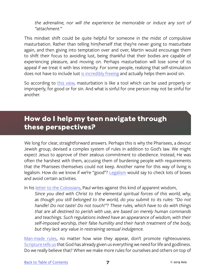<span id="page-9-0"></span>*the adrenaline, nor will the experience be memorable or induce any sort of "attachment."*

This mindset shift could be quite helpful for someone in the midst of compulsive masturbation. Rather than telling him/herself that they're never going to masturbate again, and then giving into temptation over and over, Martin would encourage them to shift their focus to avoiding lust, being thankful that their bodies are capable of experiencing pleasure, and moving on. Perhaps masturbation will lose some of its appeal if we treat it with less intensity. For some people, realizing that self-stimulation does not have to include lust [is incredibly freeing](http://mychainsaregone.org/faqwhat-about-masturbation-part-2/#sthash.GUfJfz0Z.dpbs) and actually helps them avoid sin.

So according to [this view,](http://mychainsaregone.org/objections-to-our-position-on-masturbation/#sthash.4tDBGNDx.dpbs) masturbation is like a tool which can be used properly or improperly, for good or for sin. And what is sinful for one person may not be sinful for another.

#### **How do I help my teen navigate through these perspectives?**

We long for clear, straightforward answers. Perhaps this is why the Pharisees, a devout Jewish group, devised a complex system of rules in addition to God's law. We might expect Jesus to approve of their zealous commitment to obedience. Instead, He was often the harshest with them, accusing them of burdening people with requirements that the Pharisees themselves could not keep. Another name for this way of living is legalism. How do we know if we're "good"? [Legalism](http://www.waitingforintimacy.com/masturbation,%20a%20commentary.html) would say to check lots of boxes and avoid certain activities.

In his [letter to the Colossians](https://www.biblegateway.com/passage/?search=Colossians+2&version=NIV), Paul writes against this kind of apparent wisdom,

*Since you died with Christ to the elemental spiritual forces of this world, why, as though you still belonged to the world, do you submit to its rules: "Do not handle! Do not taste! Do not touch!"? These rules, which have to do with things that are all destined to perish with use, are based on merely human commands and teachings. Such regulations indeed have an appearance of wisdom, with their self-imposed worship, their false humility and their harsh treatment of the body, but they lack any value in restraining sensual indulgence.*

[Man-made rules](http://mychainsaregone.org/what-about-masturbation-part-4/?doing_wp_cron=1560728155.5392351150512695312500#sthash.vEm52pNh.dpbs ), no matter how wise they appear, don't promote righteousness. [Scripture tells us](https://www.biblegateway.com/passage/?search=2+Peter+1%3A3&version=NIV) that God has already given us everything we need for life and godliness. Do we really believe that? When we make more rules for ourselves and others on top of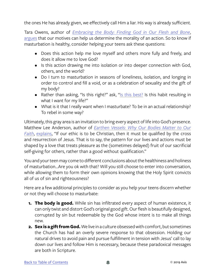the ones He has already given, we effectively call Him a liar. His way is already sufficient.

Tara Owens, author of *[Embracing the Body: Finding God in Our Flesh and Bone](https://www.amazon.com/Embracing-Body-Finding-Flesh-Bone/dp/0830835938)*, [argues](https://rachelheldevans.com/blog/christians-masturbation) that our motives can help us determine the morality of an action. So to know if masturbation is healthy, consider helping your teens ask these questions:

- Does this action help me love myself and others more fully and freely, and does it allow me to love God?
- Is this action drawing me into isolation or into deeper connection with God, others, and the world?
- Do I turn to masturbation in seasons of loneliness, isolation, and longing in order to control and fill a void, or as a celebration of sexuality and the gift of my body?
- Rather than asking, "Is this right?" ask, "[Is this best?](https://www.authenticintimacy.com/resources/6962/masturbation-is-it-wrong) Is this habit resulting in what I want for my life?"
- What is it that I really want when I masturbate? To be in an actual relationship? To rebel in some way?

Ultimately, this gray area is an invitation to bring every aspect of life into God's presence. Matthew Lee Anderson, author of *[Earthen Vessels: Why Our Bodies Matter to Our](https://www.amazon.com/gp/product/076420856X/ref=as_li_ss_tl?ie=UTF8&camp=1789&creative=390957&creativeASIN=076420856X&linkCode=as2&tag=racheleva-20) [Faith](https://www.amazon.com/gp/product/076420856X/ref=as_li_ss_tl?ie=UTF8&camp=1789&creative=390957&creativeASIN=076420856X&linkCode=as2&tag=racheleva-20)*, [explains](https://rachelheldevans.com/blog/christians-masturbation), "If our ethic is to be Christian, then it must be qualified by the cross and resurrection of Jesus. That is to say, the pattern for our lives and actions must be shaped by a love that treats pleasure as the (sometimes delayed) fruit of our sacrificial self-giving for others, rather than a good without qualification."

You and your teen may come to different conclusions about the healthiness and holiness of masturbation...Are you ok with that? Will you still choose to enter into conversation, while allowing them to form their own opinions knowing that the Holy Spirit convicts all of us of sin and righteousness?

Here are a few additional principles to consider as you help your teens discern whether or not they will choose to masturbate:

- **1. The body is good.** While sin has infiltrated every aspect of human existence, it can only twist and distort God's original good gift. Our flesh is beautifully designed, corrupted by sin but redeemable by the God whose intent is to make all things new.
- **2. Sex is a gift from God.** We live in a culture obsessed with comfort, but sometimes the Church has had an overly severe response to that obsession. Holding our natural drives to avoid pain and pursue fulfillment in tension with Jesus' call to lay down our lives and follow Him is necessary, because these paradoxical messages are both in Scripture.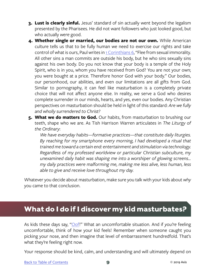- <span id="page-11-0"></span>**3. Lust is clearly sinful.** Jesus' standard of sin actually went beyond the legalism presented by the Pharisees. He did not want followers who just looked good, but who actually *were* good.
- **4. Whether single or married, our bodies are not our own.** While American culture tells us that to be fully human we need to exercise our rights and take control of what is ours, Paul writes in [1 Corinthians 6,](https://www.biblegateway.com/passage/?search=1+Corinthians+6%3A18-20&version=NIV) "Flee from sexual immorality. All other sins a man commits are outside his body, but he who sins sexually sins against his own body. Do you not know that your body is a temple of the Holy Spirit, who is in you, whom you have received from God? You are not your own; you were bought at a price. Therefore honor God with your body." Our bodies, our personhood, our abilities, and even our limitations are all gifts from God. Similar to pornography, it can feel like masturbation is a completely private choice that will not affect anyone else. In reality, we serve a God who desires complete surrender in our minds, hearts, and yes, even our bodies. Any Christian perspectives on masturbation should be held in light of this standard: *Are we fully and wholly surrendered to Christ?*
- **5. What we do matters to God.** Our habits, from masturbation to brushing our teeth, shape who we are. As Tish Harrison Warren articulates in *The Liturgy of the Ordinary*:

*We have everyday habits—formative practices—that constitute daily liturgies. By reaching for my smartphone every morning, I had developed a ritual that trained me toward a certain end: entertainment and stimulation via technology. Regardless of my professed worldview or particular Christian subculture, my unexamined daily habit was shaping me into a worshiper of glowing screens... my daily practices were malforming me, making me less alive, less human, less able to give and receive love throughout my day.* 

Whatever you decide about masturbation, make sure you talk with your kids about *why* you came to that conclusion.

#### **What do I do if I discover my kid masturbates?**

As kids these days say, "[Oof!](https://www.urbandictionary.com/define.php?term=Oof)" What an uncomfortable situation. And if *you're* feeling uncomfortable, think of how your kid feels! Remember when someone caught you picking your nose, and then imagine that level of embarrassment hundredfold. That's what they're feeling right now.

Your response should be kind, calm, and understanding and will ultimately depend on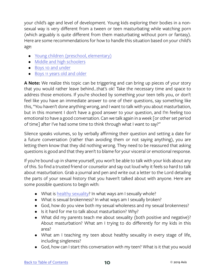your child's age and level of development. Young kids exploring their bodies in a nonsexual way is very different from a tween or teen masturbating while watching porn (which arguably is quite different from them masturbating without porn or fantasy). Here are some recommendations for how to handle this situation based on your child's age:

- [Young children \(preschool, elementary\)](https://www.summitmedicalgroup.com/library/pediatric_health/pa-hhgbeh_masturbation/)
- [Middle and high schoolers](https://www.focusonthefamily.com/parenting/talking-to-kids-about-masturbation/)
- [Boys 10 and under](https://www.intoxicatedonlife.com/young-boys-masturbation/)
- [Boys 11 years old and older](https://www.intoxicatedonlife.com/talking-older-boys-masturbation-christian-perspective/)

**A Note:** We realize this topic can be triggering and can bring up pieces of your story that you would rather leave behind...that's ok! Take the necessary time and space to address those emotions. If you're shocked by something your teen tells you, or don't feel like you have an immediate answer to one of their questions, say something like this, "You haven't done anything wrong, and I want to talk with you about masturbation, but in this moment I don't have a good answer to your question, and I'm feeling too emotional to have a good conversation. Can we talk again in a week [or other set period of time] after I've had some time to think through what I want to say?"

Silence speaks volumes, so by verbally affirming their question and setting a date for a future conversation (rather than avoiding them or not saying anything), you are letting them know that they did nothing wrong. They need to be reassured that asking questions is good and that they aren't to blame for your visceral or emotional response.

If you're bound up in shame yourself, you won't be able to talk with your kids about any of this. So find a trusted friend or counselor and say out loud why it feels so hard to talk about masturbation. Grab a journal and pen and write out a letter to the Lord detailing the parts of your sexual history that you haven't talked about with anyone. Here are some possible questions to begin with:

- What is [healthy sexuality?](http://goodwomenproject.com/sex/what-do-i-do-with-this-sex-drive) In what ways am I sexually whole?
- What is sexual brokenness? In what ways am I sexually broken?
- God, how do you view both my sexual wholeness and my sexual brokenness?
- Is it hard for me to talk about masturbation? Why?
- What did my parents teach me about sexuality (both positive and negative)? About masturbation? What am I trying to do differently for my kids in this area?
- What am I teaching my teen about healthy sexuality in every stage of life, including singleness?
- God, how can I start this conversation with my teen? What is it that you would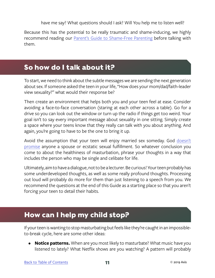have me say? What questions should I ask? Will You help me to listen well?

<span id="page-13-0"></span>Because this has the potential to be really traumatic and shame-inducing, we highly recommend reading our **[Parent's Guide to Shame-Free Parenting](https://axis.org/product/a-parents-guide-to-shame-free-parenting/) before talking with** them.

#### **So how do I talk about it?**

To start, we need to think about the subtle messages we are sending the next generation about sex. If someone asked the teen in your life, "How does your mom/dad/faith-leader view sexuality?" what would their response be?

Then create an environment that helps both you and your teen feel at ease. Consider avoiding a face-to-face conversation (staring at each other across a table). Go for a drive so you can look out the window or turn up the radio if things get too weird. Your goal isn't to say every important message about sexuality in one sitting. Simply create a space where your teens know that they really can talk with you about anything. And again, you're going to have to be the one to bring it up.

Avoid the assumption that your teen will enjoy married sex someday. God [doesn't](https://www.youtube.com/watch?v=vHnyUDmry6M) [promise](https://www.youtube.com/watch?v=vHnyUDmry6M) anyone a spouse or ecstatic sexual fulfillment. So whatever conclusion you come to about the healthiness of masturbation, phrase your thoughts in a way that includes the person who may be single and celibate for life.

Ultimately, aim to have a dialogue, not to be a lecturer. Be curious! Your teen probably has some underdeveloped thoughts, as well as some really profound thoughts. Processing out loud will probably do more for them than just listening to a speech from you. We recommend the questions at the end of this Guide as a starting place so that you aren't forcing your teen to detail their habits.

#### **How can I help my child stop?**

If your teen is wanting to stop masturbating but feels like they're caught in an impossibleto-break cycle, here are some other ideas:

**• Notice patterns.** When are you most likely to masturbate? What music have you listened to lately? What Netflix shows are you watching? A pattern will probably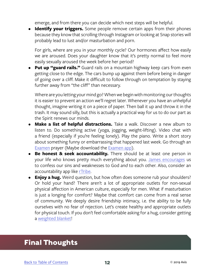emerge, and from there you can decide which next steps will be helpful.

<span id="page-14-0"></span>**Identify your triggers.** Some people remove certain apps from their phones because they know that scrolling through Instagram or looking at Snap stories will probably lead to lust and/or masturbation and porn.

For girls, where are you in your monthly cycle? Our hormones affect how easily we are aroused. Does your daughter know that it's pretty normal to feel more easily sexually aroused the week before her period?

**• Put up "guard rails."** Guard rails on a mountain highway keep cars from even getting close to the edge. The cars bump up against them before being in danger of going over a cliff. Make it difficult to follow through on temptation by staying further away from "the cliff" than necessary.

Where are you letting your mind go? When we begin with monitoring our thoughts it is easier to prevent an action we'll regret later. Whenever you have an unhelpful thought, imagine writing it on a piece of paper. Then ball it up and throw it in the trash. It may sound silly, but this is actually a practical way for us to do our part as the Spirit renews our minds.

- **• Make a list of helpful distractions.** Take a walk. Discover a new album to listen to. Do something active (yoga, jogging, weight-lifting). Video chat with a friend (especially if you're feeling lonely). Play the piano. Write a short story about something funny or embarrassing that happened last week. Go through an [Examen](https://www.xavier.edu/jesuitresource/jesuit-a-z/terms-e/daily-examen) prayer (Maybe download the [Examen app](https://play.google.com/store/apps/details?id=com.gmail.dtaylor.loyola.DailyExamen&hl=en_US)).
- **• Be honest & seek accountability.** There should be at least one person in your life who knows pretty much everything about you. [James encourages](https://www.biblegateway.com/passage/?search=James+5%3A16&version=NIV) us to confess our sins and weaknesses to God *and* to each other. Also, consider an accountability app like [rTribe.](https://rtribe.org/)
- **• Enjoy a hug.** Weird question, but how often does someone rub your shoulders? Or hold your hand? There aren't a lot of appropriate outlets for non-sexual physical affection in American culture, especially for men. What if masturbation is just a longing for comfort? Maybe that comfort can come from a real sense of community. We deeply desire friendship intimacy, i.e. the ability to be fully ourselves with no fear of rejection. Let's create healthy and appropriate outlets for physical touch. If you don't feel comfortable asking for a hug, consider getting a [weighted blanket!](https://balooliving.com/pages/weighted-blanket-for-adults)

#### **Final Thoughts**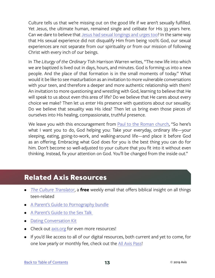<span id="page-15-0"></span>Culture tells us that we're missing out on the good life if we aren't sexually fulfilled. Yet Jesus, the ultimate human, remained single and celibate for His 33 years here. Can we dare to believe that [Jesus had sexual longings and urges too](https://thebibleproject.com/podcast/matthew-p7-jesus-sexual-desire/)? In the same way that His sexual experience did not disqualify Him from being 100% God, our sexual experiences are not separate from our spirituality or from our mission of following Christ with every inch of our beings.

In *The Liturgy of the Ordinary* Tish Harrison Warren writes, "The new life into which we are baptized is lived out in days, hours, and minutes. God is forming us into a new people. And the place of that formation is in the small moments of today." What would it be like to see masturbation as an invitation to more vulnerable conversations with your teen, and therefore a deeper and more authentic relationship with them? An invitation to more questioning and wrestling with God, learning to believe that He will speak to us about even this area of life? Do we believe that He cares about every choice we make? Then let us enter His presence with questions about our sexuality. Do we believe that sexuality was His idea? Then let us bring even those pieces of ourselves into His healing, compassionate, truthful presence.

We leave you with this encouragement from [Paul to the Roman church](https://www.biblegateway.com/passage/?search=Romans+12%3A1-2&version=MSG), "So here's what I want you to do, God helping you: Take your everyday, ordinary life—your sleeping, eating, going-to-work, and walking-around life—and place it before God as an offering. Embracing what God does for you is the best thing you can do for him. Don't become so well-adjusted to your culture that you fit into it without even thinking. Instead, fix your attention on God. You'll be changed from the inside out."

#### **Related Axis Resources**

- *• [The Culture Translator](http://axis.org/ct)*, a **free** weekly email that offers biblical insight on all things teen-related
- [A Parent's Guide to Pornography bundle](https://axis.org/product/the-pornography-bundle/)
- A Parent's Guide to the Sex Talk
- [Dating Conversation Kit](https://axis.org/product/dating/)
- Check out [axis.org](https://axis.org) for even more resources!
- If you'd like access to all of our digital resources, both current and yet to come, for one low yearly or monthly fee, check out the [All Axis Pass](https://axis.org/aap)!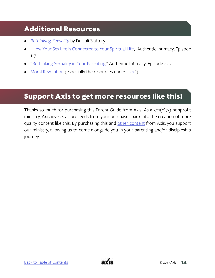#### <span id="page-16-0"></span>**Additional Resources**

- *• [Rethinking Sexuality](https://www.amazon.com/Rethinking-Sexuality-Gods-Design-Matters/dp/0735291470)* by Dr. Juli Slattery
- ["How Your Sex Life is Connected to Your Spiritual Life](https://www.authenticintimacy.com/resources/2923)," Authentic Intimacy, Episode 117
- ["Rethinking Sexuality in Your Parenting](https://www.authenticintimacy.com/search?q=220)," Authentic Intimacy, Episode 220
- [Moral Revolution](https://www.moralrevolution.com/) (especially the resources under ["sex"](https://www.moralrevolution.com/blog?category=Sex))

#### **Support Axis to get more resources like this!**

Thanks so much for purchasing this Parent Guide from Axis! As a 501(c)(3) nonprofit ministry, Axis invests all proceeds from your purchases back into the creation of more quality content like this. By purchasing this and [other content](https://axis.org) from Axis, you support our ministry, allowing us to come alongside you in your parenting and/or discipleship journey.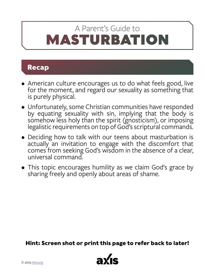## <span id="page-17-0"></span>MASTURBATION A Parent's Guide to

#### **Recap**

- American culture encourages us to do what feels good, live for the moment, and regard our sexuality as something that is purely physical.
- Unfortunately, some Christian communities have responded by equating sexuality with sin, implying that the body is somehow less holy than the spirit (gnosticism), or imposing legalistic requirements on top of God's scriptural commands.
- Deciding how to talk with our teens about masturbation is actually an invitation to engage with the discomfort that comes from seeking God's wisdom in the absence of a clear, universal command.
- This topic encourages humility as we claim God's grace by sharing freely and openly about areas of shame.

**Hint: Screen shot or print this page to refer back to later!**